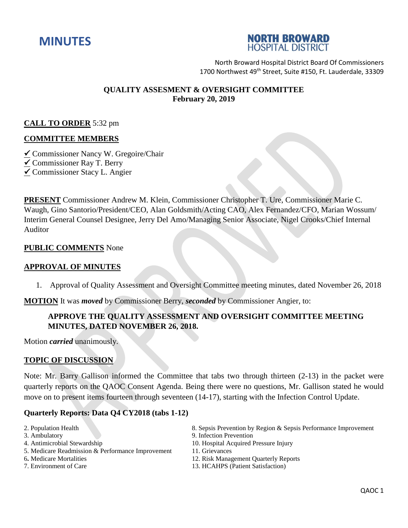



North Broward Hospital District Board Of Commissioners 1700 Northwest 49<sup>th</sup> Street, Suite #150, Ft. Lauderdale, 33309

# **QUALITY ASSESMENT & OVERSIGHT COMMITTEE February 20, 2019**

# **CALL TO ORDER** 5:32 pm

#### **COMMITTEE MEMBERS**

Commissioner Nancy W. Gregoire/Chair

Commissioner Ray T. Berry

Commissioner Stacy L. Angier

**PRESENT** Commissioner Andrew M. Klein, Commissioner Christopher T. Ure, Commissioner Marie C. Waugh, Gino Santorio/President/CEO, Alan Goldsmith/Acting CAO, Alex Fernandez/CFO, Marian Wossum/ Interim General Counsel Designee, Jerry Del Amo/Managing Senior Associate, Nigel Crooks/Chief Internal Auditor

#### **PUBLIC COMMENTS** None

#### **APPROVAL OF MINUTES**

1. Approval of Quality Assessment and Oversight Committee meeting minutes, dated November 26, 2018

**MOTION** It was *moved* by Commissioner Berry, *seconded* by Commissioner Angier, to:

# **APPROVE THE QUALITY ASSESSMENT AND OVERSIGHT COMMITTEE MEETING MINUTES, DATED NOVEMBER 26, 2018.**

Motion *carried* unanimously.

#### **TOPIC OF DISCUSSION**

Note: Mr. Barry Gallison informed the Committee that tabs two through thirteen (2-13) in the packet were quarterly reports on the QAOC Consent Agenda. Being there were no questions, Mr. Gallison stated he would move on to present items fourteen through seventeen (14-17), starting with the Infection Control Update.

#### **Quarterly Reports: Data Q4 CY2018 (tabs 1-12)**

- 
- 
- 
- 5. Medicare Readmission & Performance Improvement 11. Grievances
- 
- 
- 2. Population Health 8. Sepsis Prevention by Region & Sepsis Performance Improvement
- 3. Ambulatory 9. Infection Prevention
- 4. Antimicrobial Stewardship 10. Hospital Acquired Pressure Injury
	-
- 6**.** Medicare Mortalities 12. Risk Management Quarterly Reports
- 7. Environment of Care 13. HCAHPS (Patient Satisfaction)